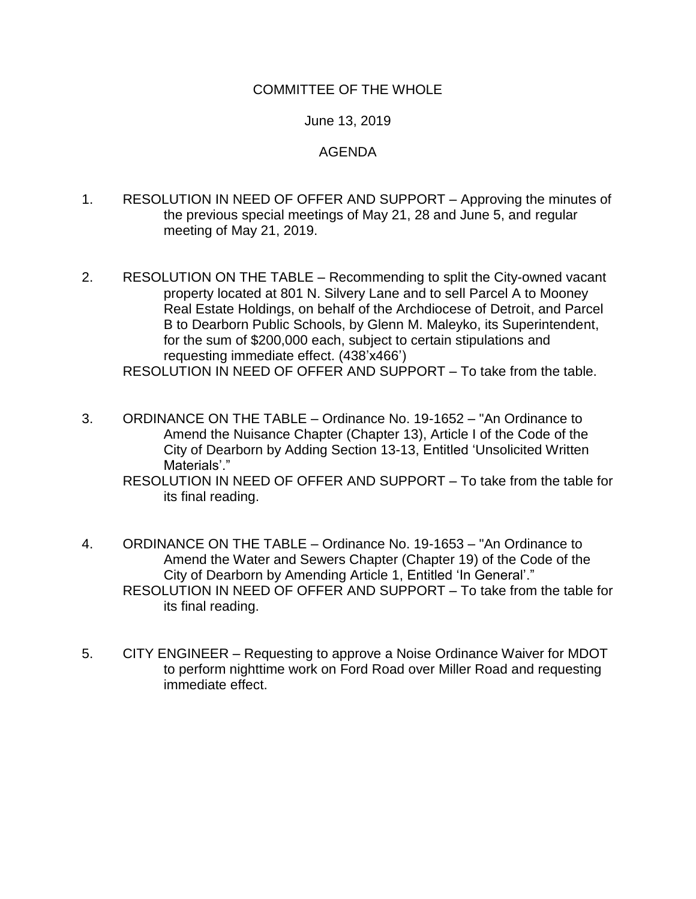## COMMITTEE OF THE WHOLE

## June 13, 2019

## AGENDA

- 1. RESOLUTION IN NEED OF OFFER AND SUPPORT Approving the minutes of the previous special meetings of May 21, 28 and June 5, and regular meeting of May 21, 2019.
- 2. RESOLUTION ON THE TABLE Recommending to split the City-owned vacant property located at 801 N. Silvery Lane and to sell Parcel A to Mooney Real Estate Holdings, on behalf of the Archdiocese of Detroit, and Parcel B to Dearborn Public Schools, by Glenn M. Maleyko, its Superintendent, for the sum of \$200,000 each, subject to certain stipulations and requesting immediate effect. (438'x466') RESOLUTION IN NEED OF OFFER AND SUPPORT – To take from the table.
- 3. ORDINANCE ON THE TABLE Ordinance No. 19-1652 "An Ordinance to Amend the Nuisance Chapter (Chapter 13), Article I of the Code of the City of Dearborn by Adding Section 13-13, Entitled 'Unsolicited Written Materials'."

RESOLUTION IN NEED OF OFFER AND SUPPORT – To take from the table for its final reading.

- 4. ORDINANCE ON THE TABLE Ordinance No. 19-1653 "An Ordinance to Amend the Water and Sewers Chapter (Chapter 19) of the Code of the City of Dearborn by Amending Article 1, Entitled 'In General'." RESOLUTION IN NEED OF OFFER AND SUPPORT – To take from the table for its final reading.
- 5. CITY ENGINEER Requesting to approve a Noise Ordinance Waiver for MDOT to perform nighttime work on Ford Road over Miller Road and requesting immediate effect.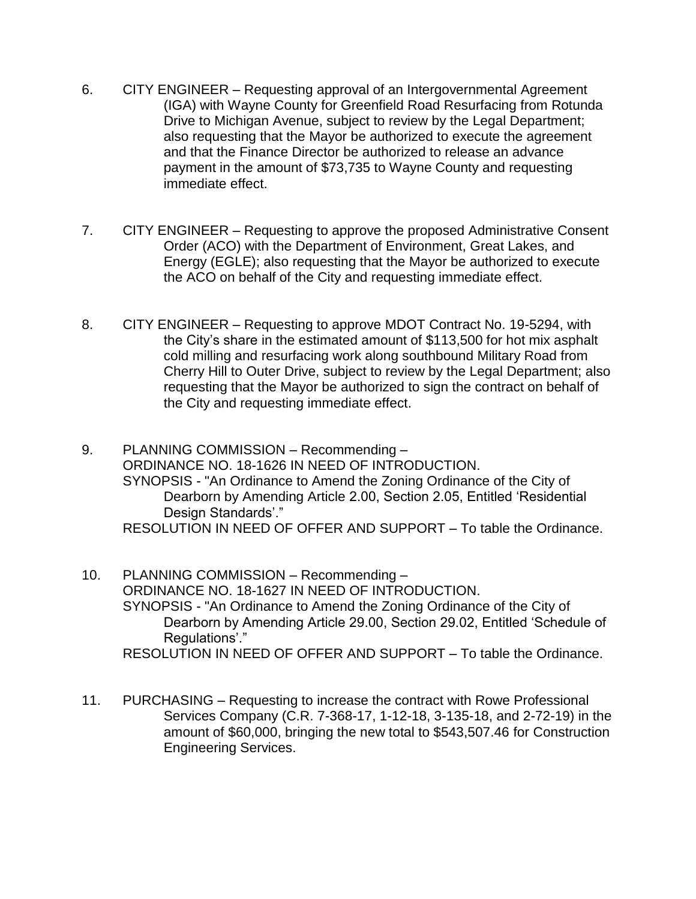- 6. CITY ENGINEER Requesting approval of an Intergovernmental Agreement (IGA) with Wayne County for Greenfield Road Resurfacing from Rotunda Drive to Michigan Avenue, subject to review by the Legal Department; also requesting that the Mayor be authorized to execute the agreement and that the Finance Director be authorized to release an advance payment in the amount of \$73,735 to Wayne County and requesting immediate effect.
- 7. CITY ENGINEER Requesting to approve the proposed Administrative Consent Order (ACO) with the Department of Environment, Great Lakes, and Energy (EGLE); also requesting that the Mayor be authorized to execute the ACO on behalf of the City and requesting immediate effect.
- 8. CITY ENGINEER Requesting to approve MDOT Contract No. 19-5294, with the City's share in the estimated amount of \$113,500 for hot mix asphalt cold milling and resurfacing work along southbound Military Road from Cherry Hill to Outer Drive, subject to review by the Legal Department; also requesting that the Mayor be authorized to sign the contract on behalf of the City and requesting immediate effect.
- 9. PLANNING COMMISSION Recommending ORDINANCE NO. 18-1626 IN NEED OF INTRODUCTION. SYNOPSIS - "An Ordinance to Amend the Zoning Ordinance of the City of Dearborn by Amending Article 2.00, Section 2.05, Entitled 'Residential Design Standards'." RESOLUTION IN NEED OF OFFER AND SUPPORT – To table the Ordinance.
- 10. PLANNING COMMISSION Recommending ORDINANCE NO. 18-1627 IN NEED OF INTRODUCTION. SYNOPSIS - "An Ordinance to Amend the Zoning Ordinance of the City of Dearborn by Amending Article 29.00, Section 29.02, Entitled 'Schedule of Regulations'." RESOLUTION IN NEED OF OFFER AND SUPPORT – To table the Ordinance.
- 11. PURCHASING Requesting to increase the contract with Rowe Professional Services Company (C.R. 7-368-17, 1-12-18, 3-135-18, and 2-72-19) in the amount of \$60,000, bringing the new total to \$543,507.46 for Construction Engineering Services.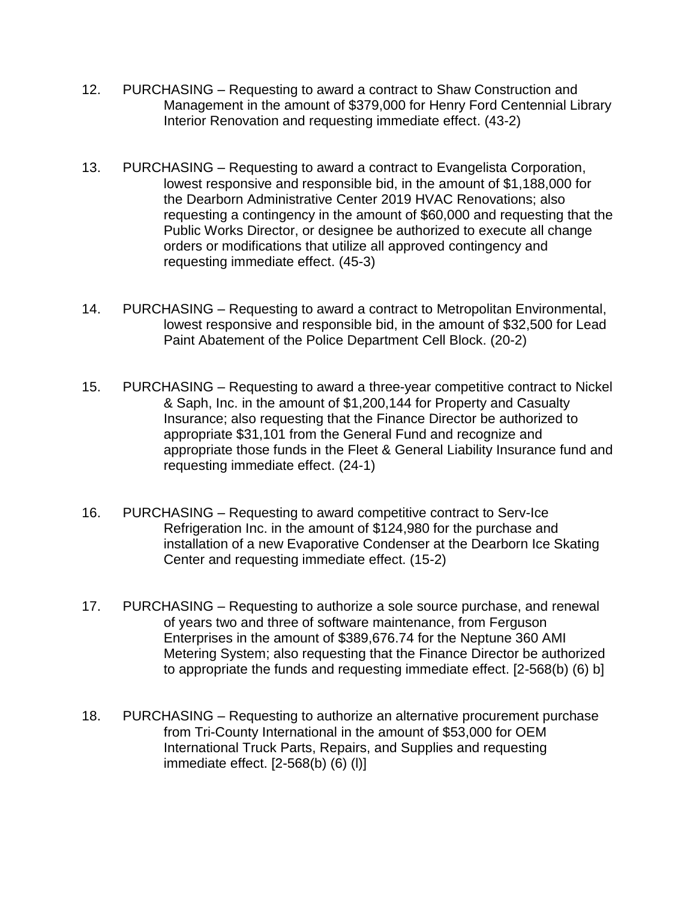- 12. PURCHASING Requesting to award a contract to Shaw Construction and Management in the amount of \$379,000 for Henry Ford Centennial Library Interior Renovation and requesting immediate effect. (43-2)
- 13. PURCHASING Requesting to award a contract to Evangelista Corporation, lowest responsive and responsible bid, in the amount of \$1,188,000 for the Dearborn Administrative Center 2019 HVAC Renovations; also requesting a contingency in the amount of \$60,000 and requesting that the Public Works Director, or designee be authorized to execute all change orders or modifications that utilize all approved contingency and requesting immediate effect. (45-3)
- 14. PURCHASING Requesting to award a contract to Metropolitan Environmental, lowest responsive and responsible bid, in the amount of \$32,500 for Lead Paint Abatement of the Police Department Cell Block. (20-2)
- 15. PURCHASING Requesting to award a three-year competitive contract to Nickel & Saph, Inc. in the amount of \$1,200,144 for Property and Casualty Insurance; also requesting that the Finance Director be authorized to appropriate \$31,101 from the General Fund and recognize and appropriate those funds in the Fleet & General Liability Insurance fund and requesting immediate effect. (24-1)
- 16. PURCHASING Requesting to award competitive contract to Serv-Ice Refrigeration Inc. in the amount of \$124,980 for the purchase and installation of a new Evaporative Condenser at the Dearborn Ice Skating Center and requesting immediate effect. (15-2)
- 17. PURCHASING Requesting to authorize a sole source purchase, and renewal of years two and three of software maintenance, from Ferguson Enterprises in the amount of \$389,676.74 for the Neptune 360 AMI Metering System; also requesting that the Finance Director be authorized to appropriate the funds and requesting immediate effect. [2-568(b) (6) b]
- 18. PURCHASING Requesting to authorize an alternative procurement purchase from Tri-County International in the amount of \$53,000 for OEM International Truck Parts, Repairs, and Supplies and requesting immediate effect. [2-568(b) (6) (l)]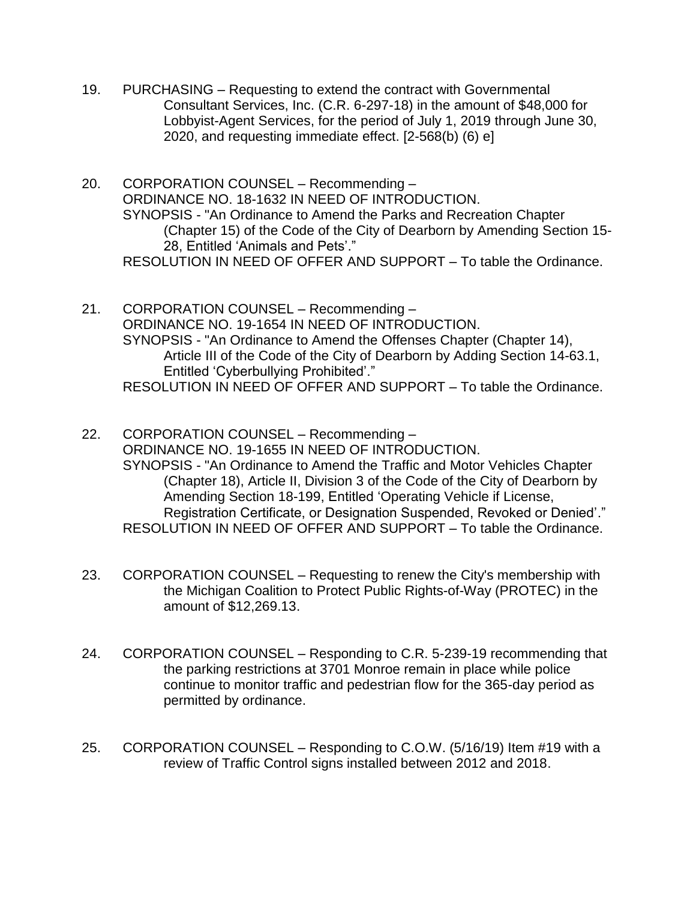- 19. PURCHASING Requesting to extend the contract with Governmental Consultant Services, Inc. (C.R. 6-297-18) in the amount of \$48,000 for Lobbyist-Agent Services, for the period of July 1, 2019 through June 30, 2020, and requesting immediate effect. [2-568(b) (6) e]
- 20. CORPORATION COUNSEL Recommending ORDINANCE NO. 18-1632 IN NEED OF INTRODUCTION. SYNOPSIS - "An Ordinance to Amend the Parks and Recreation Chapter (Chapter 15) of the Code of the City of Dearborn by Amending Section 15- 28, Entitled 'Animals and Pets'." RESOLUTION IN NEED OF OFFER AND SUPPORT – To table the Ordinance.
- 21. CORPORATION COUNSEL Recommending ORDINANCE NO. 19-1654 IN NEED OF INTRODUCTION. SYNOPSIS - "An Ordinance to Amend the Offenses Chapter (Chapter 14), Article III of the Code of the City of Dearborn by Adding Section 14-63.1, Entitled 'Cyberbullying Prohibited'." RESOLUTION IN NEED OF OFFER AND SUPPORT – To table the Ordinance.
- 22. CORPORATION COUNSEL Recommending ORDINANCE NO. 19-1655 IN NEED OF INTRODUCTION. SYNOPSIS - "An Ordinance to Amend the Traffic and Motor Vehicles Chapter (Chapter 18), Article II, Division 3 of the Code of the City of Dearborn by Amending Section 18-199, Entitled 'Operating Vehicle if License, Registration Certificate, or Designation Suspended, Revoked or Denied'." RESOLUTION IN NEED OF OFFER AND SUPPORT – To table the Ordinance.
- 23. CORPORATION COUNSEL Requesting to renew the City's membership with the Michigan Coalition to Protect Public Rights-of-Way (PROTEC) in the amount of \$12,269.13.
- 24. CORPORATION COUNSEL Responding to C.R. 5-239-19 recommending that the parking restrictions at 3701 Monroe remain in place while police continue to monitor traffic and pedestrian flow for the 365-day period as permitted by ordinance.
- 25. CORPORATION COUNSEL Responding to C.O.W. (5/16/19) Item #19 with a review of Traffic Control signs installed between 2012 and 2018.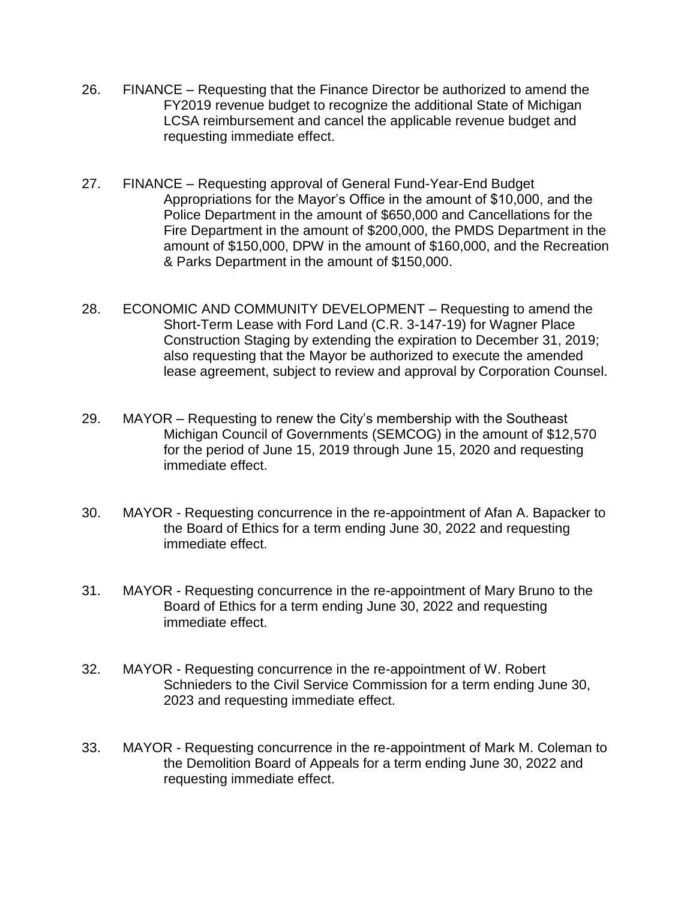- 26. FINANCE Requesting that the Finance Director be authorized to amend the FY2019 revenue budget to recognize the additional State of Michigan LCSA reimbursement and cancel the applicable revenue budget and requesting immediate effect.
- 27. FINANCE Requesting approval of General Fund-Year-End Budget Appropriations for the Mayor's Office in the amount of \$10,000, and the Police Department in the amount of \$650,000 and Cancellations for the Fire Department in the amount of \$200,000, the PMDS Department in the amount of \$150,000, DPW in the amount of \$160,000, and the Recreation & Parks Department in the amount of \$150,000.
- 28. ECONOMIC AND COMMUNITY DEVELOPMENT Requesting to amend the Short-Term Lease with Ford Land (C.R. 3-147-19) for Wagner Place Construction Staging by extending the expiration to December 31, 2019; also requesting that the Mayor be authorized to execute the amended lease agreement, subject to review and approval by Corporation Counsel.
- 29. MAYOR Requesting to renew the City's membership with the Southeast Michigan Council of Governments (SEMCOG) in the amount of \$12,570 for the period of June 15, 2019 through June 15, 2020 and requesting immediate effect.
- 30. MAYOR Requesting concurrence in the re-appointment of Afan A. Bapacker to the Board of Ethics for a term ending June 30, 2022 and requesting immediate effect.
- 31. MAYOR Requesting concurrence in the re-appointment of Mary Bruno to the Board of Ethics for a term ending June 30, 2022 and requesting immediate effect.
- 32. MAYOR Requesting concurrence in the re-appointment of W. Robert Schnieders to the Civil Service Commission for a term ending June 30, 2023 and requesting immediate effect.
- 33. MAYOR Requesting concurrence in the re-appointment of Mark M. Coleman to the Demolition Board of Appeals for a term ending June 30, 2022 and requesting immediate effect.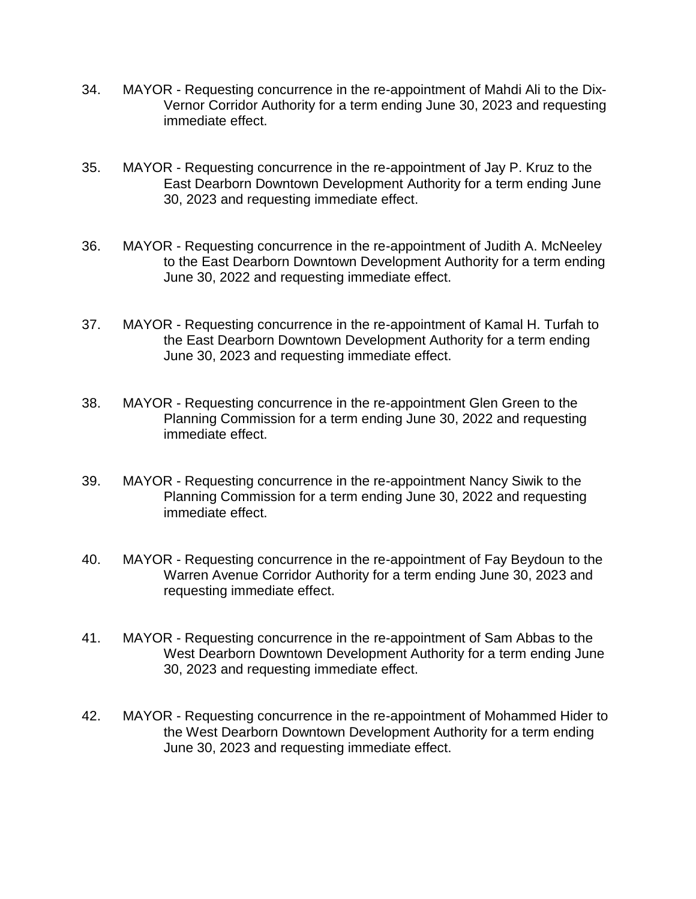- 34. MAYOR Requesting concurrence in the re-appointment of Mahdi Ali to the Dix-Vernor Corridor Authority for a term ending June 30, 2023 and requesting immediate effect.
- 35. MAYOR Requesting concurrence in the re-appointment of Jay P. Kruz to the East Dearborn Downtown Development Authority for a term ending June 30, 2023 and requesting immediate effect.
- 36. MAYOR Requesting concurrence in the re-appointment of Judith A. McNeeley to the East Dearborn Downtown Development Authority for a term ending June 30, 2022 and requesting immediate effect.
- 37. MAYOR Requesting concurrence in the re-appointment of Kamal H. Turfah to the East Dearborn Downtown Development Authority for a term ending June 30, 2023 and requesting immediate effect.
- 38. MAYOR Requesting concurrence in the re-appointment Glen Green to the Planning Commission for a term ending June 30, 2022 and requesting immediate effect.
- 39. MAYOR Requesting concurrence in the re-appointment Nancy Siwik to the Planning Commission for a term ending June 30, 2022 and requesting immediate effect.
- 40. MAYOR Requesting concurrence in the re-appointment of Fay Beydoun to the Warren Avenue Corridor Authority for a term ending June 30, 2023 and requesting immediate effect.
- 41. MAYOR Requesting concurrence in the re-appointment of Sam Abbas to the West Dearborn Downtown Development Authority for a term ending June 30, 2023 and requesting immediate effect.
- 42. MAYOR Requesting concurrence in the re-appointment of Mohammed Hider to the West Dearborn Downtown Development Authority for a term ending June 30, 2023 and requesting immediate effect.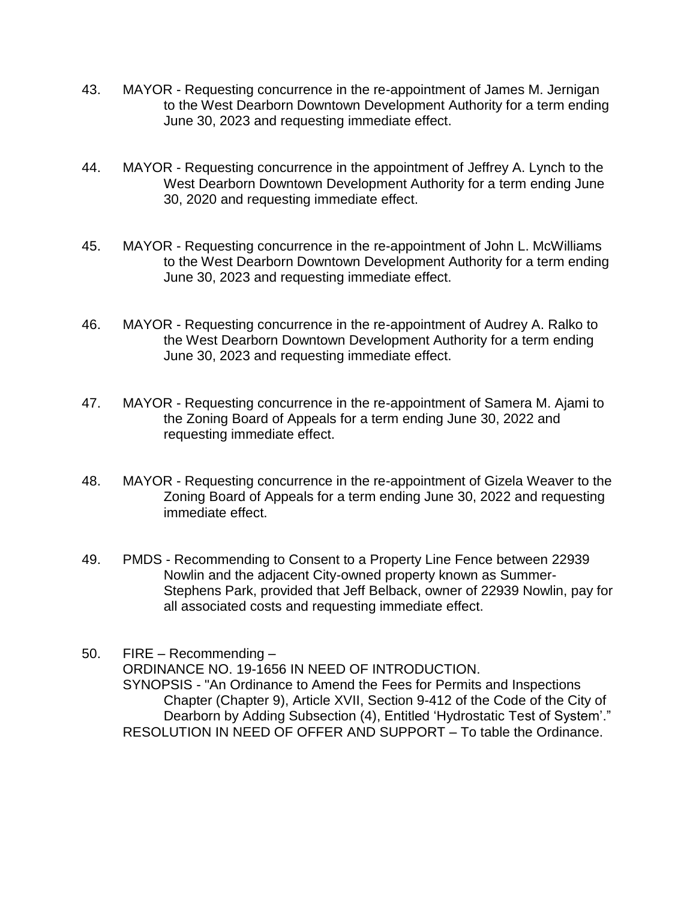- 43. MAYOR Requesting concurrence in the re-appointment of James M. Jernigan to the West Dearborn Downtown Development Authority for a term ending June 30, 2023 and requesting immediate effect.
- 44. MAYOR Requesting concurrence in the appointment of Jeffrey A. Lynch to the West Dearborn Downtown Development Authority for a term ending June 30, 2020 and requesting immediate effect.
- 45. MAYOR Requesting concurrence in the re-appointment of John L. McWilliams to the West Dearborn Downtown Development Authority for a term ending June 30, 2023 and requesting immediate effect.
- 46. MAYOR Requesting concurrence in the re-appointment of Audrey A. Ralko to the West Dearborn Downtown Development Authority for a term ending June 30, 2023 and requesting immediate effect.
- 47. MAYOR Requesting concurrence in the re-appointment of Samera M. Ajami to the Zoning Board of Appeals for a term ending June 30, 2022 and requesting immediate effect.
- 48. MAYOR Requesting concurrence in the re-appointment of Gizela Weaver to the Zoning Board of Appeals for a term ending June 30, 2022 and requesting immediate effect.
- 49. PMDS Recommending to Consent to a Property Line Fence between 22939 Nowlin and the adjacent City-owned property known as Summer-Stephens Park, provided that Jeff Belback, owner of 22939 Nowlin, pay for all associated costs and requesting immediate effect.

50. FIRE – Recommending – ORDINANCE NO. 19-1656 IN NEED OF INTRODUCTION. SYNOPSIS - "An Ordinance to Amend the Fees for Permits and Inspections Chapter (Chapter 9), Article XVII, Section 9-412 of the Code of the City of Dearborn by Adding Subsection (4), Entitled 'Hydrostatic Test of System'." RESOLUTION IN NEED OF OFFER AND SUPPORT – To table the Ordinance.